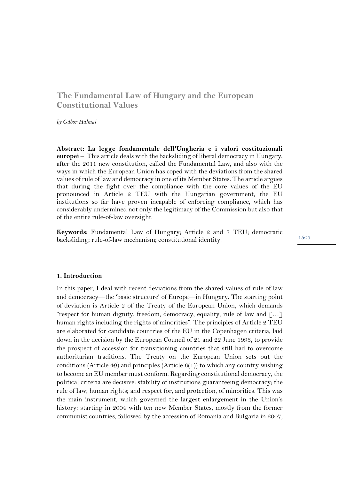# **The Fundamental Law of Hungary and the European Constitutional Values**

*by Gábor Halmai*

**Abstract: La legge fondamentale dell'Ungheria e i valori costituzionali europei** – This article deals with the backsliding of liberal democracy in Hungary, after the 2011 new constitution, called the Fundamental Law, and also with the ways in which the European Union has coped with the deviations from the shared values of rule of law and democracy in one of its Member States. The article argues that during the fight over the compliance with the core values of the EU pronounced in Article 2 TEU with the Hungarian government, the EU institutions so far have proven incapable of enforcing compliance, which has considerably undermined not only the legitimacy of the Commission but also that of the entire rule-of-law oversight.

**Keywords:** Fundamental Law of Hungary; Article 2 and 7 TEU; democratic backsliding; rule-of-law mechanism; constitutional identity.

# **1. Introduction**

In this paper, I deal with recent deviations from the shared values of rule of law and democracy—the 'basic structure' of Europe—in Hungary. The starting point of deviation is Article 2 of the Treaty of the European Union, which demands "respect for human dignity, freedom, democracy, equality, rule of law and  $\lceil \dots \rceil$ human rights including the rights of minorities". The principles of Article 2 TEU are elaborated for candidate countries of the EU in the Copenhagen criteria, laid down in the decision by the European Council of 21 and 22 June 1993, to provide the prospect of accession for transitioning countries that still had to overcome authoritarian traditions. The Treaty on the European Union sets out the conditions (Article 49) and principles (Article  $6(1)$ ) to which any country wishing to become an EU member must conform. Regarding constitutional democracy, the political criteria are decisive: stability of institutions guaranteeing democracy; the rule of law; human rights; and respect for, and protection, of minorities. This was the main instrument, which governed the largest enlargement in the Union's history: starting in 2004 with ten new Member States, mostly from the former communist countries, followed by the accession of Romania and Bulgaria in 2007,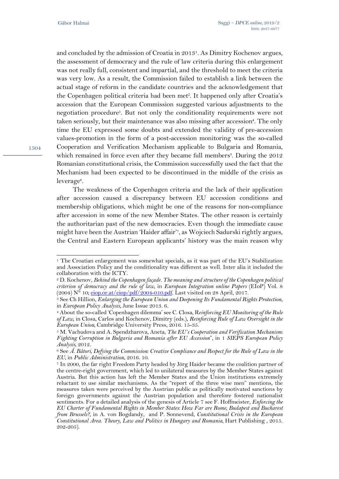and concluded by the admission of Croatia in 20131. As Dimitry Kochenov argues, the assessment of democracy and the rule of law criteria during this enlargement was not really full, consistent and impartial, and the threshold to meet the criteria was very low. As a result, the Commission failed to establish a link between the actual stage of reform in the candidate countries and the acknowledgement that the Copenhagen political criteria had been met<sup>2</sup> . It happened only after Croatia's accession that the European Commission suggested various adjustments to the negotiation procedure3. But not only the conditionality requirements were not taken seriously, but their maintenance was also missing after accession4. The only time the EU expressed some doubts and extended the validity of pre-accession values-promotion in the form of a post-accession monitoring was the so-called Cooperation and Verification Mechanism applicable to Bulgaria and Romania, which remained in force even after they became full members<sup>5</sup>. During the 2012 Romanian constitutional crisis, the Commission successfully used the fact that the Mechanism had been expected to be discontinued in the middle of the crisis as leverage<sup>6</sup>.

The weakness of the Copenhagen criteria and the lack of their application after accession caused a discrepancy between EU accession conditions and membership obligations, which might be one of the reasons for non-compliance after accession in some of the new Member States. The other reason is certainly the authoritarian past of the new democracies. Even though the immediate cause might have been the Austrian 'Haider affair'<sup>7</sup> , as Wojciech Sadurski rightly argues, the Central and Eastern European applicants' history was the main reason why

<sup>1</sup> The Croatian enlargement was somewhat specials, as it was part of the EU's Stabilization and Association Policy and the conditionality was different as well. Inter alia it included the collaboration with the ICTY.

<sup>2</sup> D. Kochenov, *Behind the Copenhagen façade. The meaning and structure of the Copenhagen political criterion of democracy and the rule of law*, in *European Integration online Papers* (EIoP) Vol. 8 (2004) N<sup>o</sup> 10; eiop.or.at/eiop/pdf/2004-010.pdf. Last visited on 28 April, 2017.

<sup>3</sup> See Ch Hillion, *Enlarging the European Union and Deepening Its Fundamental Rights Protection*, in *European Policy Analysis,* June Issue 2013. 6.

<sup>4</sup> About the so-called 'Copenhagen dilemma' see C. Closa, R*einforcing EU Monitoring of the Rule of Law*, in Closa, Carlos and Kochenov, Dimitry (eds.), *Reinforcing Rule of Law Oversight in the European Union,* Cambridge University Press, 2016. 15-35.

<sup>5</sup> M. Vachudova and A. Spendzharova, Aneta, *The EU's Cooperation and Verification Mechanism: Fighting Corruption in Bulgaria and Romania after EU Accession*", in 1 *SIEPS European Policy* 

*Analysis, 2012.*<br><sup>6</sup> See *Á. Bátori, Defying the Commission: Creative Compliance and Respect for the Rule of Law in the <i>EU*, in *Public Administration, 2016.* 10.

<sup>&</sup>lt;sup>7</sup> In 2000, the far right Freedom Party headed by Jörg Haider became the coalition partner of the centre-right government, which led to unilateral measures by the Member States against Austria. But this action has left the Member States and the Union institutions extremely reluctant to use similar mechanisms. As the "report of the three wise men" mentions, the measures taken were perceived by the Austrian public as politically motivated sanctions by foreign governments against the Austrian population and therefore fostered nationalist sentiments. For a detailed analysis of the genesis of Article 7 see F. Hoffmeister, *Enforcing the EU Charter of Fundamental Rights in Member States: How Far are Rome, Budapest and Bucharest from Brussels?*, in A. von Bogdandy, and P. Sonnevend, *Constitutional Crisis in the European Constitutional Area. Theory, Law and Politics in Hungary and Romania,* Hart Publishing , 2015. 202-205).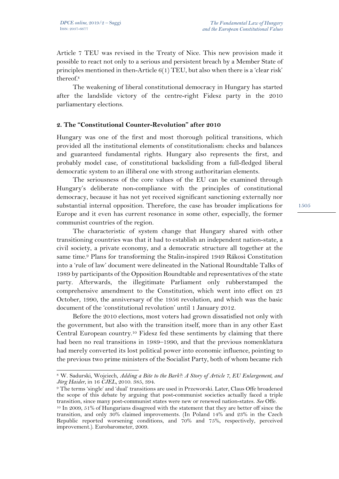Article 7 TEU was revised in the Treaty of Nice. This new provision made it possible to react not only to a serious and persistent breach by a Member State of principles mentioned in then-Article  $6(1)$  TEU, but also when there is a 'clear risk' thereof. 8

The weakening of liberal constitutional democracy in Hungary has started after the landslide victory of the centre-right Fidesz party in the 2010 parliamentary elections.

## **2. The "Constitutional Counter-Revolution" after 2010**

Hungary was one of the first and most thorough political transitions, which provided all the institutional elements of constitutionalism: checks and balances and guaranteed fundamental rights. Hungary also represents the first, and probably model case, of constitutional backsliding from a full-fledged liberal democratic system to an illiberal one with strong authoritarian elements.

The seriousness of the core values of the EU can be examined through Hungary's deliberate non-compliance with the principles of constitutional democracy, because it has not yet received significant sanctioning externally nor substantial internal opposition. Therefore, the case has broader implications for Europe and it even has current resonance in some other, especially, the former communist countries of the region.

The characteristic of system change that Hungary shared with other transitioning countries was that it had to establish an independent nation-state, a civil society, a private economy, and a democratic structure all together at the same time.9 Plans for transforming the Stalin-inspired 1949 Rákosi Constitution into a 'rule of law' document were delineated in the National Roundtable Talks of 1989 by participants of the Opposition Roundtable and representatives of the state party. Afterwards, the illegitimate Parliament only rubberstamped the comprehensive amendment to the Constitution, which went into effect on 23 October, 1990, the anniversary of the 1956 revolution, and which was the basic document of the 'constitutional revolution' until 1 January 2012.

Before the 2010 elections, most voters had grown dissatisfied not only with the government, but also with the transition itself, more than in any other East Central European country.10 Fidesz fed these sentiments by claiming that there had been no real transitions in 1989–1990, and that the previous nomenklatura had merely converted its lost political power into economic influence, pointing to the previous two prime ministers of the Socialist Party, both of whom became rich 1505

l <sup>8</sup> W. Sadurski, Wojciech, *Adding a Bite to the Bark?: A Story of Article 7, EU Enlargement, and* 

<sup>&</sup>lt;sup>9</sup> The terms 'single' and 'dual' transitions are used in Przeworski. Later, Claus Offe broadened the scope of this debate by arguing that post-communist societies actually faced a triple transition, since many post-communist states were new or renewed nation-states. *See* Offe.

<sup>10</sup> In 2009, 51% of Hungarians disagreed with the statement that they are better off since the transition, and only 30% claimed improvements. (In Poland 14% and 23% in the Czech Republic reported worsening conditions, and 70% and 75%, respectively, perceived improvement.). Eurobarometer, 2009.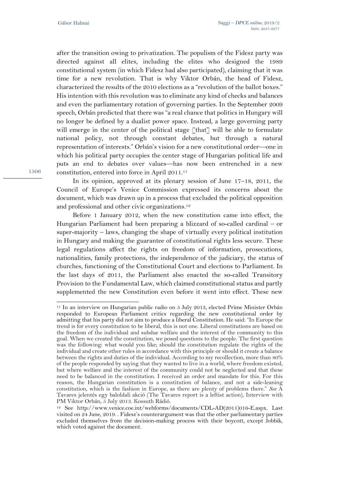after the transition owing to privatization. The populism of the Fidesz party was directed against all elites, including the elites who designed the 1989 constitutional system (in which Fidesz had also participated), claiming that it was time for a new revolution. That is why Viktor Orbán, the head of Fidesz, characterized the results of the 2010 elections as a "revolution of the ballot boxes." His intention with this revolution was to eliminate any kind of checks and balances and even the parliamentary rotation of governing parties. In the September 2009 speech, Orbán predicted that there was "a real chance that politics in Hungary will no longer be defined by a dualist power space. Instead, a large governing party will emerge in the center of the political stage [that] will be able to formulate national policy, not through constant debates, but through a natural representation of interests." Orbán's vision for a new constitutional order—one in which his political party occupies the center stage of Hungarian political life and puts an end to debates over values—has now been entrenched in a new constitution, entered into force in April 2011.11

In its opinion, approved at its plenary session of June 17–18, 2011, the Council of Europe's Venice Commission expressed its concerns about the document, which was drawn up in a process that excluded the political opposition and professional and other civic organizations.12

Before 1 January 2012, when the new constitution came into effect, the Hungarian Parliament had been preparing a blizzard of so-called cardinal – or super-majority – laws, changing the shape of virtually every political institution in Hungary and making the guarantee of constitutional rights less secure. These legal regulations affect the rights on freedom of information, prosecutions, nationalities, family protections, the independence of the judiciary, the status of churches, functioning of the Constitutional Court and elections to Parliament. In the last days of 2011, the Parliament also enacted the so-called Transitory Provision to the Fundamental Law, which claimed constitutional status and partly supplemented the new Constitution even before it went into effect. These new

1506

<sup>11</sup> In an interview on Hungarian public radio on 5 July 2013, elected Prime Minister Orbán responded to European Parliament critics regarding the new constitutional order by admitting that his party did not aim to produce a liberal Constitution. He said: "In Europe the trend is for every constitution to be liberal, this is not one. Liberal constitutions are based on the freedom of the individual and subdue welfare and the interest of the community to this goal. When we created the constitution, we posed questions to the people. The first question was the following: what would you like; should the constitution regulate the rights of the individual and create other rules in accordance with this principle or should it create a balance between the rights and duties of the individual. According to my recollection, more than 80% of the people responded by saying that they wanted to live in a world, where freedom existed, but where welfare and the interest of the community could not be neglected and that these need to be balanced in the constitution. I received an order and mandate for this. For this reason, the Hungarian constitution is a constitution of balance, and not a side-leaning constitution, which is the fashion in Europe, as there are plenty of problems there." *See* A Tavares jelentés egy baloldali akció (The Tavares report is a leftist action), Interview with PM Viktor Orbán, 5 July 2013. Kossuth Rádió.

<sup>12</sup> See http://www.venice.coe.int/webforms/documents/CDL-AD(2011)016-E.aspx. Last visited on 24 June, 2019. . Fidesz's counterargument was that the other parliamentary parties excluded themselves from the decision-making process with their boycott, except Jobbik, which voted against the document.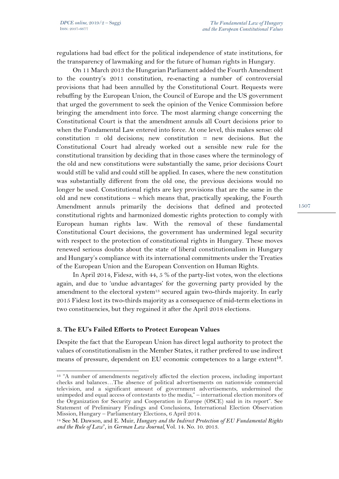regulations had bad effect for the political independence of state institutions, for the transparency of lawmaking and for the future of human rights in Hungary.

On 11 March 2013 the Hungarian Parliament added the Fourth Amendment to the country's 2011 constitution, re-enacting a number of controversial provisions that had been annulled by the Constitutional Court. Requests were rebuffing by the European Union, the Council of Europe and the US government that urged the government to seek the opinion of the Venice Commission before bringing the amendment into force. The most alarming change concerning the Constitutional Court is that the amendment annuls all Court decisions prior to when the Fundamental Law entered into force. At one level, this makes sense: old constitution  $=$  old decisions; new constitution  $=$  new decisions. But the Constitutional Court had already worked out a sensible new rule for the constitutional transition by deciding that in those cases where the terminology of the old and new constitutions were substantially the same, prior decisions Court would still be valid and could still be applied. In cases, where the new constitution was substantially different from the old one, the previous decisions would no longer be used. Constitutional rights are key provisions that are the same in the old and new constitutions – which means that, practically speaking, the Fourth Amendment annuls primarily the decisions that defined and protected constitutional rights and harmonized domestic rights protection to comply with European human rights law. With the removal of these fundamental Constitutional Court decisions, the government has undermined legal security with respect to the protection of constitutional rights in Hungary. These moves renewed serious doubts about the state of liberal constitutionalism in Hungary and Hungary's compliance with its international commitments under the Treaties of the European Union and the European Convention on Human Rights.

In April 2014, Fidesz, with 44, 5 % of the party-list votes, won the elections again, and due to 'undue advantages' for the governing party provided by the amendment to the electoral system<sup>13</sup> secured again two-thirds majority. In early 2015 Fidesz lost its two-thirds majority as a consequence of mid-term elections in two constituencies, but they regained it after the April 2018 elections.

## **3. The EU's Failed Efforts to Protect European Values**

l

Despite the fact that the European Union has direct legal authority to protect the values of constitutionalism in the Member States, it rather prefered to use indirect means of pressure, dependent on EU economic competences to a large extent<sup>14</sup>.

<sup>&</sup>lt;sup>13</sup> "A number of amendments negatively affected the election process, including important checks and balances…The absence of political advertisements on nationwide commercial television, and a significant amount of government advertisements, undermined the unimpeded and equal access of contestants to the media," – international election monitors of the Organization for Security and Cooperation in Europe (OSCE) said in its report". See Statement of Preliminary Findings and Conclusions, International Election Observation<br>Mission, Hungary – Parliamentary Elections, 6 April 2014.

<sup>&</sup>lt;sup>14</sup> See M. Dawson, and E. Muir, *Hungary and the Indirect Protection of EU Fundamental Rights and the Rule of Law*", in *German Law Journal,* Vol. 14. No. 10. 2013.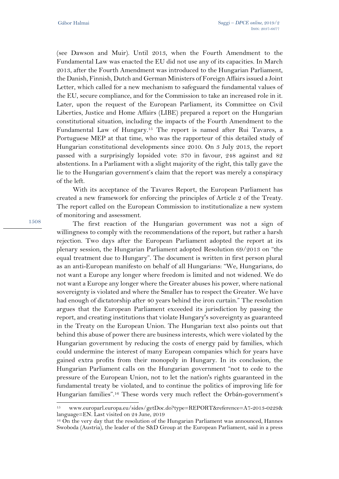(see Dawson and Muir). Until 2013, when the Fourth Amendment to the Fundamental Law was enacted the EU did not use any of its capacities. In March 2013, after the Fourth Amendment was introduced to the Hungarian Parliament, the Danish, Finnish, Dutch and German Ministers of Foreign Affairs issued a Joint Letter, which called for a new mechanism to safeguard the fundamental values of the EU, secure compliance, and for the Commission to take an increased role in it. Later, upon the request of the European Parliament, its Committee on Civil Liberties, Justice and Home Affairs (LIBE) prepared a report on the Hungarian constitutional situation, including the impacts of the Fourth Amendment to the Fundamental Law of Hungary.15 The report is named after Rui Tavares, a Portuguese MEP at that time, who was the rapporteur of this detailed study of Hungarian constitutional developments since 2010. On 3 July 2013, the report passed with a surprisingly lopsided vote: 370 in favour, 248 against and 82 abstentions. In a Parliament with a slight majority of the right, this tally gave the lie to the Hungarian government's claim that the report was merely a conspiracy of the left.

With its acceptance of the Tavares Report, the European Parliament has created a new framework for enforcing the principles of Article 2 of the Treaty. The report called on the European Commission to institutionalize a new system of monitoring and assessment.

The first reaction of the Hungarian government was not a sign of willingness to comply with the recommendations of the report, but rather a harsh rejection. Two days after the European Parliament adopted the report at its plenary session, the Hungarian Parliament adopted Resolution 69/2013 on "the equal treatment due to Hungary". The document is written in first person plural as an anti-European manifesto on behalf of all Hungarians: "We, Hungarians, do not want a Europe any longer where freedom is limited and not widened. We do not want a Europe any longer where the Greater abuses his power, where national sovereignty is violated and where the Smaller has to respect the Greater. We have had enough of dictatorship after 40 years behind the iron curtain." The resolution argues that the European Parliament exceeded its jurisdiction by passing the report, and creating institutions that violate Hungary's sovereignty as guaranteed in the Treaty on the European Union. The Hungarian text also points out that behind this abuse of power there are business interests, which were violated by the Hungarian government by reducing the costs of energy paid by families, which could undermine the interest of many European companies which for years have gained extra profits from their monopoly in Hungary. In its conclusion, the Hungarian Parliament calls on the Hungarian government "not to cede to the pressure of the European Union, not to let the nation's rights guaranteed in the fundamental treaty be violated, and to continue the politics of improving life for Hungarian families".16 These words very much reflect the Orbán-government's

 $\overline{a}$ <sup>15</sup> www.europarl.europa.eu/sides/getDoc.do?type=REPORT&reference=A7-2013-0229& language=EN. Last visited on 24 June, 2019

<sup>16</sup> On the very day that the resolution of the Hungarian Parliament was announced, Hannes Swoboda (Austria), the leader of the S&D Group at the European Parliament, said in a press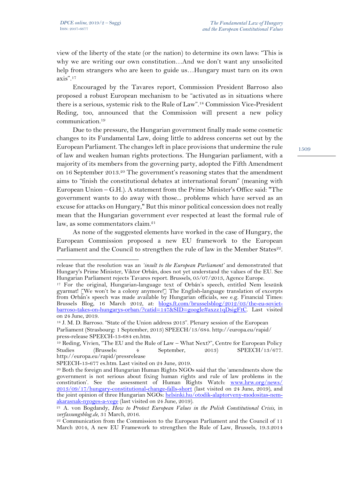$\overline{a}$ 

view of the liberty of the state (or the nation) to determine its own laws: "This is why we are writing our own constitution…And we don't want any unsolicited help from strangers who are keen to guide us…Hungary must turn on its own  $axis$ ".<sup>17</sup>

Encouraged by the Tavares report, Commission President Barroso also proposed a robust European mechanism to be "activated as in situations where there is a serious, systemic risk to the Rule of Law".18 Commission Vice-President Reding, too, announced that the Commission will present a new policy communication.19

Due to the pressure, the Hungarian government finally made some cosmetic changes to its Fundamental Law, doing little to address concerns set out by the European Parliament. The changes left in place provisions that undermine the rule of law and weaken human rights protections. The Hungarian parliament, with a majority of its members from the governing party, adopted the Fifth Amendment on 16 September 2013.20 The government's reasoning states that the amendment aims to "finish the constitutional debates at international forum" (meaning with European Union – G.H.). A statement from the Prime Minister's Office said: "The government wants to do away with those... problems which have served as an excuse for attacks on Hungary," But this minor political concession does not really mean that the Hungarian government ever respected at least the formal rule of law, as some commentators claim.21

As none of the suggested elements have worked in the case of Hungary, the European Commission proposed a new EU framework to the European Parliament and the Council to strengthen the rule of law in the Member States<sup>22</sup>. 1509

release that the resolution was an *'insult to the European Parliament'* and demonstrated that Hungary's Prime Minister, Viktor Orbán, does not yet understand the values of the EU. See Hungarian Parliament rejects Tavares report. Brussels, 05/07/2013, Agence Europe.

<sup>17</sup> For the original, Hungarian-language text of Orbán's speech, entitled Nem leszünk gyarmat! [We won't be a colony anymore!] The English-language translation of excerpts from Orbán's speech was made available by Hungarian officials, see e.g. Financial Times: Brussels Blog, 16 March 2012, at: **blogs.ft.com/brusselsblog/**2012/03/the-eu-sovietbarroso-takes-on-hungarys-orban/?catid=147&SID=google#axzz1qDsigFtC. Last visited on 24 June, 2019.

<sup>18</sup> J. M. D. Barroso. "State of the Union address 2013". Plenary session of the European Parliament (Strasbourg: 1 September, 2013) SPEECH/13/684. http://europa.eu/rapid/ press-release SPEECH-13-684 en.htm.

<sup>19</sup> Reding, Vivien, "The EU and the Rule of Law – What Next?", Centre for European Policy Studies (Brussels: 4 September, 2013) SPEECH/13/677. http://europa.eu/rapid/pressrelease

SPEECH-13-677 es.htm. Last visited on 24 June, 2019.

<sup>20</sup> Both the foreign and Hungarian Human Rights NGOs said that the 'amendments show the government is not serious about fixing human rights and rule of law problems in the constitution'. See the assessment of Human Rights Watch: www.hrw.org/news/ 2013/09/17/hungary-constitutional-change-falls-short (last visited on 24 June, 2019), and the joint opinion of three Hungarian NGOs: helsinki.hu/otodik-alaptorveny-modositas-nemakarasnak-nyoges-a-vege (last visited on 24 June, 2019).

<sup>21</sup> A. von Bogdandy, *How to Protect European Values in the Polish Constitutional Crisis*, in *verfassungsblog.de*, 31 March, 2016.

<sup>22</sup> Communication from the Commission to the European Parliament and the Council of 11 March 2014, A new EU Framework to strengthen the Rule of Law, Brussels, 19.3.2014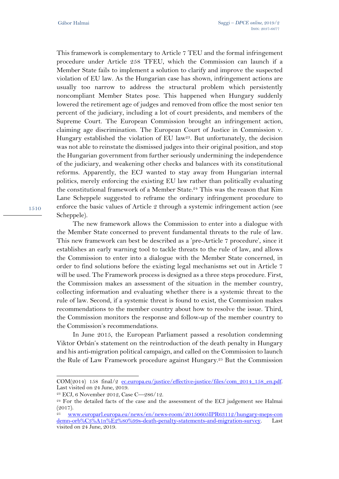This framework is complementary to Article 7 TEU and the formal infringement procedure under Article 258 TFEU, which the Commission can launch if a Member State fails to implement a solution to clarify and improve the suspected violation of EU law. As the Hungarian case has shown, infringement actions are usually too narrow to address the structural problem which persistently noncompliant Member States pose. This happened when Hungary suddenly lowered the retirement age of judges and removed from office the most senior ten percent of the judiciary, including a lot of court presidents, and members of the Supreme Court. The European Commission brought an infringement action, claiming age discrimination. The European Court of Justice in Commission v. Hungary established the violation of  $EU$  law<sup>23</sup>. But unfortunately, the decision was not able to reinstate the dismissed judges into their original position, and stop the Hungarian government from further seriously undermining the independence of the judiciary, and weakening other checks and balances with its constitutional reforms. Apparently, the ECJ wanted to stay away from Hungarian internal politics, merely enforcing the existing EU law rather than politically evaluating the constitutional framework of a Member State.24 This was the reason that Kim Lane Scheppele suggested to reframe the ordinary infringement procedure to enforce the basic values of Article 2 through a systemic infringement action (see Scheppele).

The new framework allows the Commission to enter into a dialogue with the Member State concerned to prevent fundamental threats to the rule of law. This new framework can best be described as a 'pre-Article 7 procedure', since it establishes an early warning tool to tackle threats to the rule of law, and allows the Commission to enter into a dialogue with the Member State concerned, in order to find solutions before the existing legal mechanisms set out in Article 7 will be used. The Framework process is designed as a three steps procedure. First, the Commission makes an assessment of the situation in the member country, collecting information and evaluating whether there is a systemic threat to the rule of law. Second, if a systemic threat is found to exist, the Commission makes recommendations to the member country about how to resolve the issue. Third, the Commission monitors the response and follow-up of the member country to the Commission's recommendations.

In June 2015, the European Parliament passed a resolution condemning Viktor Orbán's statement on the reintroduction of the death penalty in Hungary and his anti-migration political campaign, and called on the Commission to launch the Rule of Law Framework procedure against Hungary.25 But the Commission

COM(2014) 158 final/2 ec.europa.eu/justice/effective-justice/files/com\_2014\_158\_en.pdf. Last visited on 24 June, 2019.

<sup>23</sup> ECJ, 6 November 2012, Case C—286/12.

<sup>24</sup> For the detailed facts of the case and the assessment of the ECJ judgement see Halmai (2017).

<sup>25</sup> www.europarl.europa.eu/news/en/news-room/20150605IPR63112/hungary-meps-con demn-orb%C3%A1n%E2%80%99s-death-penalty-statements-and-migration-survey. Last visited on 24 June, 2019.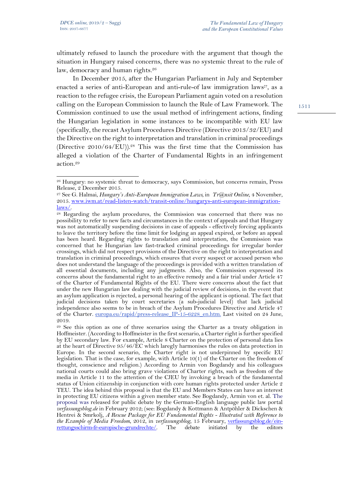$\overline{a}$ 

ultimately refused to launch the procedure with the argument that though the situation in Hungary raised concerns, there was no systemic threat to the rule of law, democracy and human rights.<sup>26</sup>

In December 2015, after the Hungarian Parliament in July and September enacted a series of anti-European and anti-rule-of law immigration laws<sup>27</sup>, as a reaction to the refugee crisis, the European Parliament again voted on a resolution calling on the European Commission to launch the Rule of Law Framework. The Commission continued to use the usual method of infringement actions, finding the Hungarian legislation in some instances to be incompatible with EU law (specifically, the recast Asylum Procedures Directive (Directive 2013/32/EU) and the Directive on the right to interpretation and translation in criminal proceedings (Directive  $2010/64/EU$ )).<sup>28</sup> This was the first time that the Commission has alleged a violation of the Charter of Fundamental Rights in an infringement action.29

<sup>26</sup> Hungary: no systemic threat to democracy, says Commission, but concerns remain, Press Release, 2 December 2015.

<sup>27</sup> See G. Halmai, *Hungary's Anti-European Immigration Laws,* in *Tr@nsit Online*, 4 November, 2015. www.iwm.at/read-listen-watch/transit-online/hungarys-anti-european-immigrationlaws/.

<sup>28</sup> Regarding the asylum procedures, the Commission was concerned that there was no possibility to refer to new facts and circumstances in the context of appeals and that Hungary was not automatically suspending decisions in case of appeals - effectively forcing applicants to leave the territory before the time limit for lodging an appeal expired, or before an appeal has been heard. Regarding rights to translation and interpretation, the Commission was concerned that he Hungarian law fast-tracked criminal proceedings for irregular border crossings, which did not respect provisions of the Directive on the right to interpretation and translation in criminal proceedings, which ensures that every suspect or accused person who does not understand the language of the proceedings is provided with a written translation of all essential documents, including any judgments. Also, the Commission expressed its concerns about the fundamental right to an effective remedy and a fair trial under Article 47 of the Charter of Fundamental Rights of the EU. There were concerns about the fact that under the new Hungarian law dealing with the judicial review of decisions, in the event that an asylum application is rejected, a personal hearing of the applicant is optional. The fact that judicial decisions taken by court secretaries (a sub-judicial level) that lack judicial independence also seems to be in breach of the Asylum Procedures Directive and Article 47 of the Charter. europa.eu/rapid/press-release IP-15-6228 en.htm. Last visited on 24 June, 2019.

<sup>29</sup> See this option as one of three scenarios using the Charter as a treaty obligation in Hoffmeister. (According to Hoffmeister in the first scenario, a Charter right is further specified by EU secondary law. For example, Article 8 Charter on the protection of personal data lies at the heart of Directive 95/46/EC which laregly harmonises the rules on data protection in Europe. In the second scenario, the Charter right is not underpinned by specific EU legislation. That is the case, for example, with Article 10(1) of the Charter on the freedom of thought, conscience and religion.) According to Armin von Bogdandy and his colleagues national courts could also bring grave violations of Charter rights, such as freedom of the media in Article 11 to the attention of the CJEU by invoking a breach of the fundamental status of Union citizenship in conjunction with core human rights protected under Article 2 TEU. The idea behind this proposal is that the EU and Members States can have an interest in protecting EU citizens within a given member state. See Bogdandy, Armin von et. al. The proposal was released for public debate by the German-English language public law portal *verfassungsblog.de* in February 2012; (see: Bogdandy & Kottmann & Antpöhler & Dickschen & Hentrei & Smrkolj, *A Rescue Package for EU Fundamental Rights - Illustrated with Reference to the Example of Media Freedom*, 2012, in *verfassungsblog*, 15 February, <u>verfassungsblog.de/ein-</u><br>rettungsschirm-fr-europische-grundrechte/. The debate initiated by the editors rettungsschirm-fr-europische-grundrechte/. The debate initiated by the editors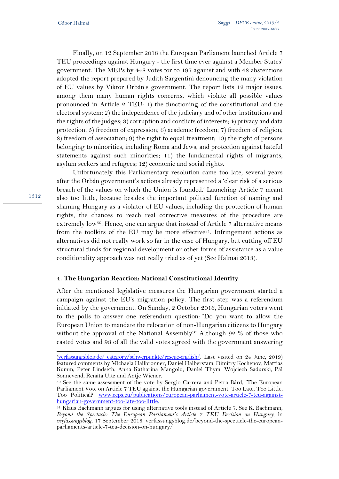Finally, on 12 September 2018 the European Parliament launched Article 7 TEU proceedings against Hungary - the first time ever against a Member States' government. The MEPs by 448 votes for to 197 against and with 48 abstentions adopted the report prepared by Judith Sargentini denouncing the many violation of EU values by Viktor Orbán's government. The report lists 12 major issues, among them many human rights concerns, which violate all possible values pronounced in Article 2 TEU: 1) the functioning of the constitutional and the electoral system; 2) the independence of the judiciary and of other institutions and the rights of the judges; 3) corruption and conflicts of interests; 4) privacy and data protection; 5) freedom of expression; 6) academic freedom; 7) freedom of religion; 8) freedom of association; 9) the right to equal treatment; 10) the right of persons belonging to minorities, including Roma and Jews, and protection against hateful statements against such minorities; 11) the fundamental rights of migrants, asylum seekers and refugees; 12) economic and social rights.

Unfortunately this Parliamentary resolution came too late, several years after the Orbán government's actions already represented a 'clear risk of a serious breach of the values on which the Union is founded.' Launching Article 7 meant also too little, because besides the important political function of naming and shaming Hungary as a violator of EU values, including the protection of human rights, the chances to reach real corrective measures of the procedure are extremely low30. Hence, one can argue that instead of Article 7 alternative means from the toolkits of the EU may be more effective<sup>31</sup>. Infringement actions as alternatives did not really work so far in the case of Hungary, but cutting off EU structural funds for regional development or other forms of assistance as a value conditionality approach was not really tried as of yet (See Halmai 2018).

#### **4. The Hungarian Reaction: National Constitutional Identity**

After the mentioned legislative measures the Hungarian government started a campaign against the EU's migration policy. The first step was a referendum initiated by the government. On Sunday, 2 October 2016, Hungarian voters went to the polls to answer one referendum question: "Do you want to allow the European Union to mandate the relocation of non-Hungarian citizens to Hungary without the approval of the National Assembly?" Although 92 % of those who casted votes and 98 of all the valid votes agreed with the government answering

<sup>(</sup>verfassungsblog.de/ category/schwerpunkte/rescue-english/. Last visited on 24 June, 2019) featured comments by Michaela Hailbronner, Daniel Halberstam, Dimitry Kochenov, Mattias Kumm, Peter Lindseth, Anna Katharina Mangold, Daniel Thym, Wojciech Sadurski, Pál Sonnevend, Renáta Uitz and Antje Wiener.

<sup>30</sup> See the same assessment of the vote by Sergio Carrera and Petra Bárd, 'The European Parliament Vote on Article 7 TEU against the Hungarian government: Too Late, Too Little, Too Political?' www.ceps.eu/publications/european-parliament-vote-article-7-teu-againsthungarian-government-too-late-too-little.

<sup>31</sup> Klaus Bachmann argues for using alternative tools instead of Article 7. See K. Bachmann, *Beyond the Spectacle: The European Parliament's Article 7 TEU Decision on Hungary,* in *verfassungsblog*, 17 September 2018. verfassungsblog.de/beyond-the-spectacle-the-europeanparliaments-article-7-teu-decision-on-hungary/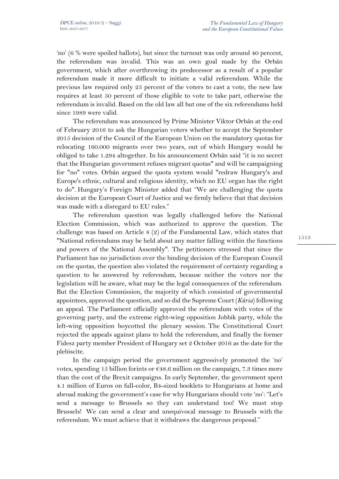'no' (6 % were spoiled ballots), but since the turnout was only around 40 percent, the referendum was invalid. This was an own goal made by the Orbán government, which after overthrowing its predecessor as a result of a popular referendum made it more difficult to initiate a valid referendum. While the previous law required only 25 percent of the voters to cast a vote, the new law requires at least 50 percent of those eligible to vote to take part, otherwise the referendum is invalid. Based on the old law all but one of the six referendums held since 1989 were valid.

The referendum was announced by Prime Minister Viktor Orbán at the end of February 2016 to ask the Hungarian voters whether to accept the September 2015 decision of the Council of the European Union on the mandatory quotas for relocating 160.000 migrants over two years, out of which Hungary would be obliged to take 1.294 altogether. In his announcement Orbán said "it is no secret that the Hungarian government refuses migrant quotas" and will be campaigning for "no" votes. Orbán argued the quota system would "redraw Hungary's and Europe's ethnic, cultural and religious identity, which no EU organ has the right to do". Hungary's Foreign Minister added that "We are challenging the quota decision at the European Court of Justice and we firmly believe that that decision was made with a disregard to EU rules."

The referendum question was legally challenged before the National Election Commission, which was authorized to approve the question. The challenge was based on Article 8 (2) of the Fundamental Law, which states that "National referendums may be held about any matter falling within the functions and powers of the National Assembly". The petitioners stressed that since the Parliament has no jurisdiction over the binding decision of the European Council on the quotas, the question also violated the requirement of certainty regarding a question to be answered by referendum, because neither the voters nor the legislation will be aware, what may be the legal consequences of the referendum. But the Election Commission, the majority of which consisted of governmental appointees, approved the question, and so did the Supreme Court (*Kúria*) following an appeal. The Parliament officially approved the referendum with votes of the governing party, and the extreme right-wing opposition Jobbik party, while the left-wing opposition boycotted the plenary session. The Constitutional Court rejected the appeals against plans to hold the referendum, and finally the former Fidesz party member President of Hungary set 2 October 2016 as the date for the plebiscite.

In the campaign period the government aggressively promoted the 'no' votes, spending 15 billion forints or  $\epsilon$ 48.6 million on the campaign, 7.3 times more than the cost of the Brexit campaigns. In early September, the government spent 4.1 million of Euros on full-color, B4-sized booklets to Hungarians at home and abroad making the government's case for why Hungarians should vote 'no': "Let's send a message to Brussels so they can understand too! We must stop Brussels! We can send a clear and unequivocal message to Brussels with the referendum. We must achieve that it withdraws the dangerous proposal."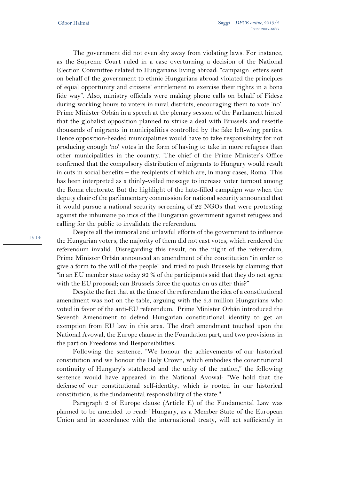The government did not even shy away from violating laws. For instance, as the Supreme Court ruled in a case overturning a decision of the National Election Committee related to Hungarians living abroad: "campaign letters sent on behalf of the government to ethnic Hungarians abroad violated the principles of equal opportunity and citizens' entitlement to exercise their rights in a bona fide way". Also, ministry officials were making phone calls on behalf of Fidesz during working hours to voters in rural districts, encouraging them to vote 'no'. Prime Minister Orbán in a speech at the plenary session of the Parliament hinted that the globalist opposition planned to strike a deal with Brussels and resettle thousands of migrants in municipalities controlled by the fake left-wing parties. Hence opposition-headed municipalities would have to take responsibility for not producing enough 'no' votes in the form of having to take in more refugees than other municipalities in the country. The chief of the Prime Minister's Office confirmed that the compulsory distribution of migrants to Hungary would result in cuts in social benefits – the recipients of which are, in many cases, Roma. This has been interpreted as a thinly-veiled message to increase voter turnout among the Roma electorate. But the highlight of the hate-filled campaign was when the deputy chair of the parliamentary commission for national security announced that it would pursue a national security screening of 22 NGOs that were protesting against the inhumane politics of the Hungarian government against refugees and calling for the public to invalidate the referendum.

1514

Despite all the immoral and unlawful efforts of the government to influence the Hungarian voters, the majority of them did not cast votes, which rendered the referendum invalid. Disregarding this result, on the night of the referendum, Prime Minister Orbán announced an amendment of the constitution "in order to give a form to the will of the people" and tried to push Brussels by claiming that "in an EU member state today 92 % of the participants said that they do not agree with the EU proposal; can Brussels force the quotas on us after this?"

Despite the fact that at the time of the referendum the idea of a constitutional amendment was not on the table, arguing with the 3.3 million Hungarians who voted in favor of the anti-EU referendum, Prime Minister Orbán introduced the Seventh Amendment to defend Hungarian constitutional identity to get an exemption from EU law in this area. The draft amendment touched upon the National Avowal, the Europe clause in the Foundation part, and two provisions in the part on Freedoms and Responsibilities.

Following the sentence, "We honour the achievements of our historical constitution and we honour the Holy Crown, which embodies the constitutional continuity of Hungary's statehood and the unity of the nation," the following sentence would have appeared in the National Avowal: "We hold that the defense of our constitutional self-identity, which is rooted in our historical constitution, is the fundamental responsibility of the state."

Paragraph 2 of Europe clause (Article E) of the Fundamental Law was planned to be amended to read: "Hungary, as a Member State of the European Union and in accordance with the international treaty, will act sufficiently in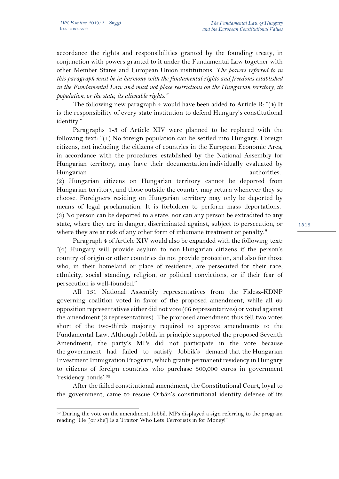accordance the rights and responsibilities granted by the founding treaty, in conjunction with powers granted to it under the Fundamental Law together with other Member States and European Union institutions. *The powers referred to in this paragraph must be in harmony with the fundamental rights and freedoms established in the Fundamental Law and must not place restrictions on the Hungarian territory, its population, or the state, its alienable rights."*

The following new paragraph 4 would have been added to Article R: "(4) It is the responsibility of every state institution to defend Hungary's constitutional identity."

Paragraphs 1-3 of Article XIV were planned to be replaced with the following text: "(1) No foreign population can be settled into Hungary. Foreign citizens, not including the citizens of countries in the European Economic Area, in accordance with the procedures established by the National Assembly for Hungarian territory, may have their documentation individually evaluated by Hungarian authorities.

(2) Hungarian citizens on Hungarian territory cannot be deported from Hungarian territory, and those outside the country may return whenever they so choose. Foreigners residing on Hungarian territory may only be deported by means of legal proclamation. It is forbidden to perform mass deportations. (3) No person can be deported to a state, nor can any person be extradited to any state, where they are in danger, discriminated against, subject to persecution, or where they are at risk of any other form of inhumane treatment or penalty."

Paragraph 4 of Article XIV would also be expanded with the following text: "(4) Hungary will provide asylum to non-Hungarian citizens if the person's country of origin or other countries do not provide protection, and also for those who, in their homeland or place of residence, are persecuted for their race, ethnicity, social standing, religion, or political convictions, or if their fear of persecution is well-founded."

All 131 National Assembly representatives from the Fidesz-KDNP governing coalition voted in favor of the proposed amendment, while all 69 opposition representatives either did not vote (66 representatives) or voted against the amendment (3 representatives). The proposed amendment thus fell two votes short of the two-thirds majority required to approve amendments to the Fundamental Law. Although Jobbik in principle supported the proposed Seventh Amendment, the party's MPs did not participate in the vote because the government had failed to satisfy Jobbik's demand that the Hungarian Investment Immigration Program, which grants permanent residency in Hungary to citizens of foreign countries who purchase 300,000 euros in government 'residency bonds'.32

After the failed constitutional amendment, the Constitutional Court, loyal to the government, came to rescue Orbán's constitutional identity defense of its 1515

l <sup>32</sup> During the vote on the amendment, Jobbik MPs displayed a sign referring to the program reading "He [or she] Is a Traitor Who Lets Terrorists in for Money!"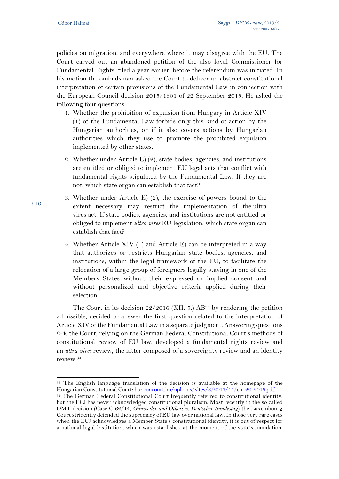policies on migration, and everywhere where it may disagree with the EU. The Court carved out an abandoned petition of the also loyal Commissioner for Fundamental Rights, filed a year earlier, before the referendum was initiated. In his motion the ombudsman asked the Court to deliver an abstract constitutional interpretation of certain provisions of the Fundamental Law in connection with the European Council decision 2015/1601 of 22 September 2015. He asked the following four questions:

- 1. Whether the prohibition of expulsion from Hungary in Article XIV (1) of the Fundamental Law forbids only this kind of action by the Hungarian authorities, or if it also covers actions by Hungarian authorities which they use to promote the prohibited expulsion implemented by other states.
- 2. Whether under Article  $E/(2)$ , state bodies, agencies, and institutions are entitled or obliged to implement EU legal acts that conflict with fundamental rights stipulated by the Fundamental Law. If they are not, which state organ can establish that fact?
- 3. Whether under Article E) (2), the exercise of powers bound to the extent necessary may restrict the implementation of the ultra vires act. If state bodies, agencies, and institutions are not entitled or obliged to implement *ultra vires* EU legislation, which state organ can establish that fact?
- 4. Whether Article XIV (1) and Article E) can be interpreted in a way that authorizes or restricts Hungarian state bodies, agencies, and institutions, within the legal framework of the EU, to facilitate the relocation of a large group of foreigners legally staying in one of the Members States without their expressed or implied consent and without personalized and objective criteria applied during their selection.

The Court in its decision  $22/2016$  (XII. 5.) AB<sup>33</sup> by rendering the petition admissible, decided to answer the first question related to the interpretation of Article XIV of the Fundamental Law in a separate judgment. Answering questions 2-4, the Court, relying on the German Federal Constitutional Court's methods of constitutional review of EU law, developed a fundamental rights review and an *ultra vires* review, the latter composed of a sovereignty review and an identity review.34

1516

l

<sup>33</sup> The English language translation of the decision is available at the homepage of the Hungarian Constitutional Court: hunconcourt.hu/uploads/sites/3/2017/11/en\_22\_2016.pdf.

<sup>34</sup> The German Federal Constitutional Court frequently referred to constitutional identity, but the ECJ has never acknowledged constitutional pluralism. Most recently in the so called OMT decision (Case C-62/14, *Gauweiler and Others v. Deutscher Bundestag*) the Luxembourg Court stridently defended the supremacy of EU law over national law. In those very rare cases when the ECJ acknowledges a Member State's constitutional identity, it is out of respect for a national legal institution, which was established at the moment of the state's foundation.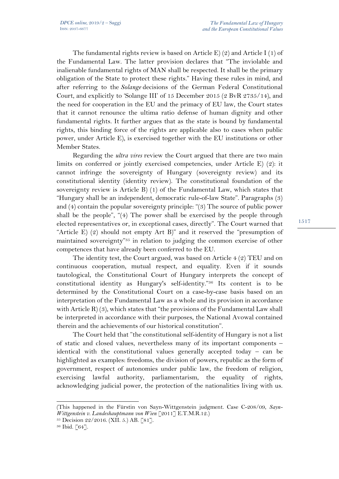The fundamental rights review is based on Article E) (2) and Article I (1) of the Fundamental Law. The latter provision declares that "The inviolable and inalienable fundamental rights of MAN shall be respected. It shall be the primary obligation of the State to protect these rights." Having these rules in mind, and after referring to the *Solange* decisions of the German Federal Constitutional Court, and explicitly to 'Solange III' of 15 December 2015 (2 BvR 2735/14), and the need for cooperation in the EU and the primacy of EU law, the Court states that it cannot renounce the ultima ratio defense of human dignity and other fundamental rights. It further argues that as the state is bound by fundamental rights, this binding force of the rights are applicable also to cases when public power, under Article E), is exercised together with the EU institutions or other Member States.

Regarding the *ultra vires* review the Court argued that there are two main limits on conferred or jointly exercised competencies, under Article E) (2): it cannot infringe the sovereignty of Hungary (sovereignty review) and its constitutional identity (identity review). The constitutional foundation of the sovereignty review is Article B) (1) of the Fundamental Law, which states that "Hungary shall be an independent, democratic rule-of-law State". Paragraphs (3) and (4) contain the popular sovereignty principle: "(3) The source of public power shall be the people", "(4) The power shall be exercised by the people through elected representatives or, in exceptional cases, directly". The Court warned that "Article E)  $(2)$  should not empty Art B)" and it reserved the "presumption of maintained sovereignty"35 in relation to judging the common exercise of other competences that have already been conferred to the EU.

The identity test, the Court argued, was based on Article 4 (2) TEU and on continuous cooperation, mutual respect, and equality. Even if it sounds tautological, the Constitutional Court of Hungary interprets the concept of constitutional identity as Hungary's self-identity."36 Its content is to be determined by the Constitutional Court on a case-by-case basis based on an interpretation of the Fundamental Law as a whole and its provision in accordance with Article  $R/(3)$ , which states that "the provisions of the Fundamental Law shall be interpreted in accordance with their purposes, the National Avowal contained therein and the achievements of our historical constitution".

The Court held that "the constitutional self-identity of Hungary is not a list of static and closed values, nevertheless many of its important components – identical with the constitutional values generally accepted today – can be highlighted as examples: freedoms, the division of powers, republic as the form of government, respect of autonomies under public law, the freedom of religion, exercising lawful authority, parliamentarism, the equality of rights, acknowledging judicial power, the protection of the nationalities living with us.

l

<sup>(</sup>This happened in the Fürstin von Sayn-Wittgenstein judgment. Case C-208/09, *Sayn-Wittgenstein v. Landeshauptmann von Wien* [2011] E.T.M.R.12.)

<sup>35</sup> Decision 22/2016. (XII. 5.) AB. [81].

<sup>36</sup> Ibid. [64].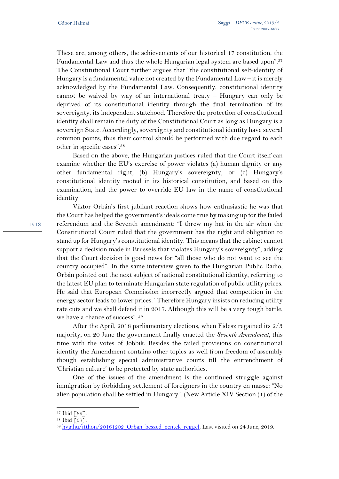These are, among others, the achievements of our historical 17 constitution, the Fundamental Law and thus the whole Hungarian legal system are based upon".37 The Constitutional Court further argues that "the constitutional self-identity of Hungary is a fundamental value not created by the Fundamental  $Law - it$  is merely acknowledged by the Fundamental Law. Consequently, constitutional identity cannot be waived by way of an international treaty – Hungary can only be deprived of its constitutional identity through the final termination of its sovereignty, its independent statehood. Therefore the protection of constitutional identity shall remain the duty of the Constitutional Court as long as Hungary is a sovereign State. Accordingly, sovereignty and constitutional identity have several common points, thus their control should be performed with due regard to each other in specific cases".38

Based on the above, the Hungarian justices ruled that the Court itself can examine whether the EU's exercise of power violates (a) human dignity or any other fundamental right, (b) Hungary's sovereignty, or (c) Hungary's constitutional identity rooted in its historical constitution, and based on this examination, had the power to override EU law in the name of constitutional identity.

Viktor Orbán's first jubilant reaction shows how enthusiastic he was that the Court has helped the government's ideals come true by making up for the failed referendum and the Seventh amendment: "I threw my hat in the air when the Constitutional Court ruled that the government has the right and obligation to stand up for Hungary's constitutional identity. This means that the cabinet cannot support a decision made in Brussels that violates Hungary's sovereignty", adding that the Court decision is good news for "all those who do not want to see the country occupied". In the same interview given to the Hungarian Public Radio, Orbán pointed out the next subject of national constitutional identity, referring to the latest EU plan to terminate Hungarian state regulation of public utility prices. He said that European Commission incorrectly argued that competition in the energy sector leads to lower prices. "Therefore Hungary insists on reducing utility rate cuts and we shall defend it in 2017. Although this will be a very tough battle, we have a chance of success". <sup>39</sup>

After the April, 2018 parliamentary elections, when Fidesz regained its 2/3 majority, on 20 June the government finally enacted the *Seventh Amendment*, this time with the votes of Jobbik. Besides the failed provisions on constitutional identity the Amendment contains other topics as well from freedom of assembly though establishing special administrative courts till the entrenchment of 'Christian culture' to be protected by state authorities.

One of the issues of the amendment is the continued struggle against immigration by forbidding settlement of foreigners in the country en masse: "No alien population shall be settled in Hungary". (New Article XIV Section (1) of the

l

1518

<sup>37</sup> Ibid [65].

<sup>38</sup> Ibid [67].

<sup>&</sup>lt;sup>39</sup> hvg.hu/itthon/20161202 Orban\_beszed\_pentek\_reggel. Last visited on 24 June, 2019.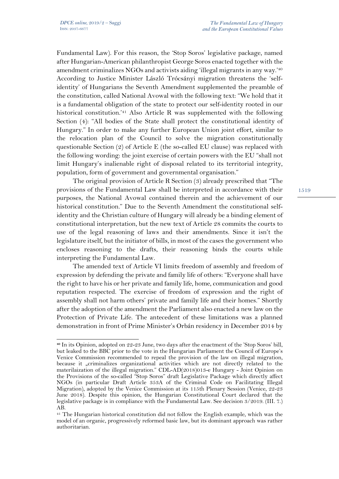l

Fundamental Law). For this reason, the 'Stop Soros' legislative package, named after Hungarian-American philanthropist George Soros enacted together with the amendment criminalizes NGOs and activists aiding 'illegal migrants in any way.'40 According to Justice Minister László Trócsányi migration threatens the 'selfidentity' of Hungarians the Seventh Amendment supplemented the preamble of the constitution, called National Avowal with the following text: "We hold that it is a fundamental obligation of the state to protect our self-identity rooted in our historical constitution.<sup>'41</sup> Also Article R was supplemented with the following Section (4): "All bodies of the State shall protect the constitutional identity of Hungary." In order to make any further European Union joint effort, similar to the relocation plan of the Council to solve the migration constitutionally questionable Section (2) of Article E (the so-called EU clause) was replaced with the following wording: the joint exercise of certain powers with the EU "shall not limit Hungary's inalienable right of disposal related to its territorial integrity, population, form of government and governmental organisation."

The original provision of Article R Section (3) already prescribed that "The provisions of the Fundamental Law shall be interpreted in accordance with their purposes, the National Avowal contained therein and the achievement of our historical constitution." Due to the Seventh Amendment the constitutional selfidentity and the Christian culture of Hungary will already be a binding element of constitutional interpretation, but the new text of Article 28 commits the courts to use of the legal reasoning of laws and their amendments. Since it isn't the legislature itself, but the initiator of bills, in most of the cases the government who encloses reasoning to the drafts, their reasoning binds the courts while interpreting the Fundamental Law.

The amended text of Article VI limits freedom of assembly and freedom of expression by defending the private and family life of others: "Everyone shall have the right to have his or her private and family life, home, communication and good reputation respected. The exercise of freedom of expression and the right of assembly shall not harm others' private and family life and their homes." Shortly after the adoption of the amendment the Parliament also enacted a new law on the Protection of Private Life. The antecedent of these limitations was a planned demonstration in front of Prime Minister's Orbán residency in December 2014 by

**<sup>40</sup>** In its Opinion, adopted on 22-23 June, two days after the enactment of the 'Stop Soros' bill, but leaked to the BBC prior to the vote in the Hungarian Parliament the Council of Europe's Venice Commission recommended to repeal the provision of the law on illegal migration, because it "criminalizes organizational activities which are not directly related to the materilaization of the illegal migration." CDL-AD(2018)013-e Hungary - Joint Opinion on the Provisions of the so-called "Stop Soros" draft Legislative Package which directly affect NGOs (in particular Draft Article 353A of the Criminal Code on Facilitating Illegal Migration), adopted by the Venice Commission at its 115th Plenary Session (Venice, 22-23 June 2018). Despite this opinion, the Hungarian Constitutional Court declared that the legislative package is in compliance with the Fundamental Law. See decision 3/2019. (III. 7.) AB.

<sup>41</sup> The Hungarian historical constitution did not follow the English example, which was the model of an organic, progressively reformed basic law, but its dominant approach was rather authoritarian.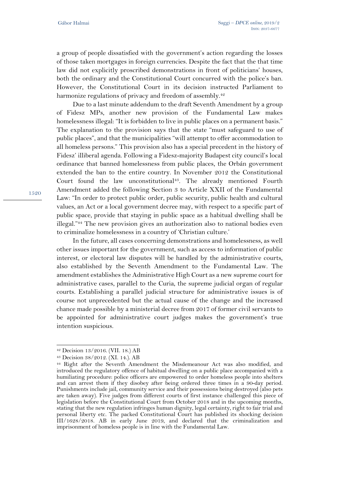a group of people dissatisfied with the government's action regarding the losses of those taken mortgages in foreign currencies. Despite the fact that the that time law did not explicitly proscribed demonstrations in front of politicians' houses, both the ordinary and the Constitutional Court concurred with the police's ban. However, the Constitutional Court in its decision instructed Parliament to harmonize regulations of privacy and freedom of assembly.<sup>42</sup>

Due to a last minute addendum to the draft Seventh Amendment by a group of Fidesz MPs, another new provision of the Fundamental Law makes homelessness illegal: "It is forbidden to live in public places on a permanent basis." The explanation to the provision says that the state "must safeguard to use of public places", and that the municipalities "will attempt to offer accommodation to all homeless persons." This provision also has a special precedent in the history of Fidesz' illiberal agenda. Following a Fidesz-majority Budapest city council's local ordinance that banned homelessness from public places, the Orbán government extended the ban to the entire country. In November 2012 the Constitutional Court found the law unconstitutional<sup>43</sup>. The already mentioned Fourth Amendment added the following Section 3 to Article XXII of the Fundamental Law: "In order to protect public order, public security, public health and cultural values, an Act or a local government decree may, with respect to a specific part of public space, provide that staying in public space as a habitual dwelling shall be illegal."44 The new provision gives an authorization also to national bodies even to criminalize homelessness in a country of 'Christian culture.'

In the future, all cases concerning demonstrations and homelessness, as well other issues important for the government, such as access to information of public interest, or electoral law disputes will be handled by the administrative courts, also established by the Seventh Amendment to the Fundamental Law. The amendment establishes the Administrative High Court as a new supreme court for administrative cases, parallel to the Curia, the supreme judicial organ of regular courts. Establishing a parallel judicial structure for administrative issues is of course not unprecedented but the actual cause of the change and the increased chance made possible by a ministerial decree from 2017 of former civil servants to be appointed for administrative court judges makes the government's true intention suspicious.

<sup>42</sup> Decision 13/2016. (VII. 18.) AB 43 Decision 38/2012. (XI. 14.). AB

<sup>44</sup> Right after the Seventh Amendment the Misdemeanour Act was also modified, and introduced the regulatory offence of habitual dwelling on a public place accompanied with a humiliating procedure: police officers are empowered to order homeless people into shelters and can arrest them if they disobey after being ordered three times in a 90-day period. Punishments include jail, community service and their possessions being destroyed (also pets are taken away). Five judges from different courts of first instance challenged this piece of legislation before the Constitutional Court from October 2018 and in the upcoming months, stating that the new regulation infringes human dignity, legal certainty, right to fair trial and personal liberty etc. The packed Constitutional Court has published its shocking decision III/1628/2018. AB in early June 2019, and declared that the criminalization and imprisonment of homeless people is in line with the Fundamental Law.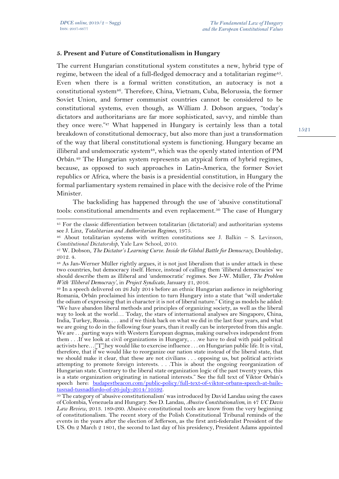#### **5. Present and Future of Constitutionalism in Hungary**

The current Hungarian constitutional system constitutes a new, hybrid type of regime, between the ideal of a full-fledged democracy and a totalitarian regime<sup>45</sup>. Even when there is a formal written constitution, an autocracy is not a constitutional system46. Therefore, China, Vietnam, Cuba, Belorussia, the former Soviet Union, and former communist countries cannot be considered to be constitutional systems, even though, as William J. Dobson argues, "today's dictators and authoritarians are far more sophisticated, savvy, and nimble than they once were."<sup>47</sup> What happened in Hungary is certainly less than a total breakdown of constitutional democracy, but also more than just a transformation of the way that liberal constitutional system is functioning. Hungary became an illiberal and undemocratic system $48$ , which was the openly stated intention of PM Orbán.49 The Hungarian system represents an atypical form of hybrid regimes, because, as opposed to such approaches in Latin-America, the former Soviet republics or Africa, where the basis is a presidential constitution, in Hungary the formal parliamentary system remained in place with the decisive role of the Prime Minister.

The backsliding has happened through the use of 'abusive constitutional' tools: constitutional amendments and even replacement.<sup>50</sup> The case of Hungary

 $\overline{a}$ <sup>45</sup> For the classic differentiation between totalitarian (dictatorial) and authoritarian systems see J. Linz, *Totalitarian and Authoritarian Regimes*, 1975. 46 About totalitarian systems with written constitutions see J. Balkin – S. Levinson,

*Constitutional Dictatorship*, Yale Law School, 2010.

<sup>47</sup> W. Dobson, *The Dictator's Learning Curve. Inside the Global Battle for Democracy*, Doubleday, 2012. 4.

<sup>48</sup> As Jan-Werner Müller rightly argues, it is not just liberalism that is under attack in these two countries, but democracy itself. Hence, instead of calling them 'illiberal democracies' we should describe them as illiberal and 'undemocratic' regimes. See J-W. Müller, *The Problem With 'Illiberal Democracy'*, in *Project Syndicate*, January 21, 2016.

<sup>49</sup> In a speech delivered on 26 July 2014 before an ethnic Hungarian audience in neighboring Romania, Orbán proclaimed his intention to turn Hungary into a state that "will undertake the odium of expressing that in character it is not of liberal nature." Citing as models he added: "We have abandon liberal methods and principles of organizing society, as well as the liberal way to look at the world… Today, the stars of international analyses are Singapore, China, India, Turkey, Russia. . . . and if we think back on what we did in the last four years, and what we are going to do in the following four years, than it really can be interpreted from this angle. We are . . .parting ways with Western European dogmas, making ourselves independent from them . . .If we look at civil organizations in Hungary, . . .we have to deal with paid political activists here…[T]hey would like to exercise influence . . . on Hungarian public life. It is vital, therefore, that if we would like to reorganize our nation state instead of the liberal state, that we should make it clear, that these are not civilians . . . opposing us, but political activists attempting to promote foreign interests. . . .This is about the ongoing reorganization of Hungarian state. Contrary to the liberal state organization logic of the past twenty years, this is a state organization originating in national interests." See the full text of Viktor Orbán's speech here: budapestbeacon.com/public-policy/full-text-of-viktor-orbans-speech-at-bailetusnad-tusnadfurdo-of-26-july-2014/10592.

<sup>50</sup> The category of 'abusive constitutionalism' was introduced by David Landau using the cases of Colombia, Venezuela and Hungary. See D. Landau, *Abusive Constitutionalism*, in 47 *UC Davis Law Review*, 2013. 189-260. Abusive constitutional tools are know from the very beginning of constitutionalism. The recent story of the Polish Constitutional Tribunal reminds of the events in the years after the election of Jefferson, as the first anti-federalist President of the US. On 2 March 2 1801, the second to last day of his presidency, President Adams appointed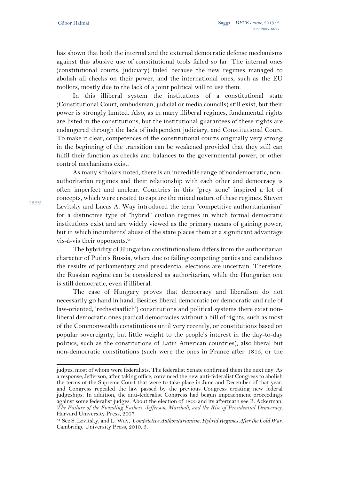has shown that both the internal and the external democratic defense mechanisms against this abusive use of constitutional tools failed so far. The internal ones (constitutional courts, judiciary) failed because the new regimes managed to abolish all checks on their power, and the international ones, such as the EU toolkits, mostly due to the lack of a joint political will to use them.

In this illiberal system the institutions of a constitutional state (Constitutional Court, ombudsman, judicial or media councils) still exist, but their power is strongly limited. Also, as in many illiberal regimes, fundamental rights are listed in the constitutions, but the institutional guarantees of these rights are endangered through the lack of independent judiciary, and Constitutional Court. To make it clear, competences of the constitutional courts originally very strong in the beginning of the transition can be weakened provided that they still can fulfil their function as checks and balances to the governmental power, or other control mechanisms exist.

As many scholars noted, there is an incredible range of nondemocratic, nonauthoritarian regimes and their relationship with each other and democracy is often imperfect and unclear. Countries in this "grey zone" inspired a lot of concepts, which were created to capture the mixed nature of these regimes. Steven Levitsky and Lucas A. Way introduced the term "competitive authoritarianism" for a distinctive type of "hybrid" civilian regimes in which formal democratic institutions exist and are widely viewed as the primary means of gaining power, but in which incumbents' abuse of the state places them at a significant advantage vis-á-vis their opponents. 51

The hybridity of Hungarian constitutionalism differs from the authoritarian character of Putin's Russia, where due to failing competing parties and candidates the results of parliamentary and presidential elections are uncertain. Therefore, the Russian regime can be considered as authoritarian, while the Hungarian one is still democratic, even if illiberal.

The case of Hungary proves that democracy and liberalism do not necessarily go hand in hand. Besides liberal democratic (or democratic and rule of law-oriented, 'rechsstaatlich') constitutions and political systems there exist nonliberal democratic ones (radical democracies without a bill of rights, such as most of the Commonwealth constitutions until very recently, or constitutions based on popular sovereignty, but little weight to the people's interest in the day-to-day politics, such as the constitutions of Latin American countries), also liberal but non-democratic constitutions (such were the ones in France after 1815, or the

judges, most of whom were federalists. The federalist Senate confirmed them the next day. As a response, Jefferson, after taking office, convinced the new anti-federalist Congress to abolish the terms of the Supreme Court that were to take place in June and December of that year, and Congress repealed the law passed by the previous Congress creating new federal judgeships. In addition, the anti-federalist Congress had begun impeachment proceedings against some federalist judges. About the election of 1800 and its aftermath see B. Ackerman, *The Failure of the Founding Fathers. Jefferson, Marshall, and the Rise of Presidential Democracy*, Harvard University Press, 2007.

<sup>51</sup> See S. Levitsky, and L. Way, *Competetive Authoritarianism. Hybrid Regimes After the Cold War,*  Cambridge University Press, 2010. 5.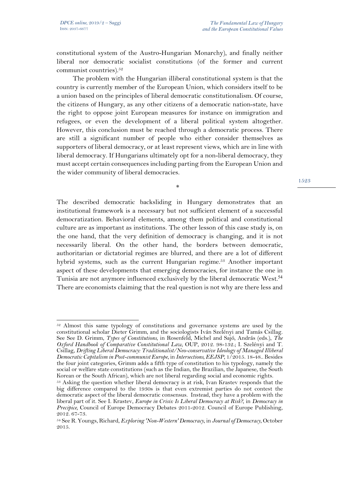constitutional system of the Austro-Hungarian Monarchy), and finally neither liberal nor democratic socialist constitutions (of the former and current communist countries).52

The problem with the Hungarian illiberal constitutional system is that the country is currently member of the European Union, which considers itself to be a union based on the principles of liberal democratic constitutionalism. Of course, the citizens of Hungary, as any other citizens of a democratic nation-state, have the right to oppose joint European measures for instance on immigration and refugees, or even the development of a liberal political system altogether. However, this conclusion must be reached through a democratic process. There are still a significant number of people who either consider themselves as supporters of liberal democracy, or at least represent views, which are in line with liberal democracy. If Hungarians ultimately opt for a non-liberal democracy, they must accept certain consequences including parting from the European Union and the wider community of liberal democracies.

The described democratic backsliding in Hungary demonstrates that an institutional framework is a necessary but not sufficient element of a successful democratization. Behavioral elements, among them political and constitutional culture are as important as institutions. The other lesson of this case study is, on the one hand, that the very definition of democracy is changing, and it is not necessarily liberal. On the other hand, the borders between democratic, authoritarian or dictatorial regimes are blurred, and there are a lot of different hybrid systems, such as the current Hungarian regime.<sup>53</sup> Another important aspect of these developments that emerging democracies, for instance the one in Tunisia are not anymore influenced exclusively by the liberal democratic West.<sup>54</sup> There are economists claiming that the real question is not why are there less and

\*

 $\overline{a}$ <sup>52</sup> Almost this same typology of constitutions and governance systems are used by the constitutional scholar Dieter Grimm, and the sociologists Iván Szelényi and Tamás Csillag. See See D. Grimm, *Types of Constitutions*, in Rosenfeld, Michel and Sajó, András (eds.), *The Oxford Handbook of Comparative Constitutional Law*, OUP, 2012. 98-132.; I. Szelényi and T. Csillag, *Drifting Liberal Democracy: Traditionalist/Neo-conservative Ideology of Managed Illiberal Democratic Capitalism in Post-communist Europe*, in *Intersections, EEJSP*, 1/2015. 18-48.. Besides the four joint categories, Grimm adds a fifth type of constitution to his typology, namely the social or welfare state constitutions (such as the Indian, the Brazilian, the Japanese, the South Korean or the South African), which are not liberal regarding social and economic rights.

<sup>&</sup>lt;sup>53</sup> Asking the question whether liberal democracy is at risk, Ivan Krastev responds that the big difference compared to the 1930s is that even extremist parties do not contest the democratic aspect of the liberal democratic consensus. Instead, they have a problem with the liberal part of it. See I. Krastev, *Europe in Crisis: Is Liberal Democracy at Risk?*, in *Democracy in Precipice, Council of Europe Democracy Debates 2011-2012. Council of Europe Publishing,* 2012. 67-73.

<sup>54</sup> See R. Youngs, Richard, *Exploring 'Non-Western' Democracy*, in *Journal of Democracy*, October 2015.